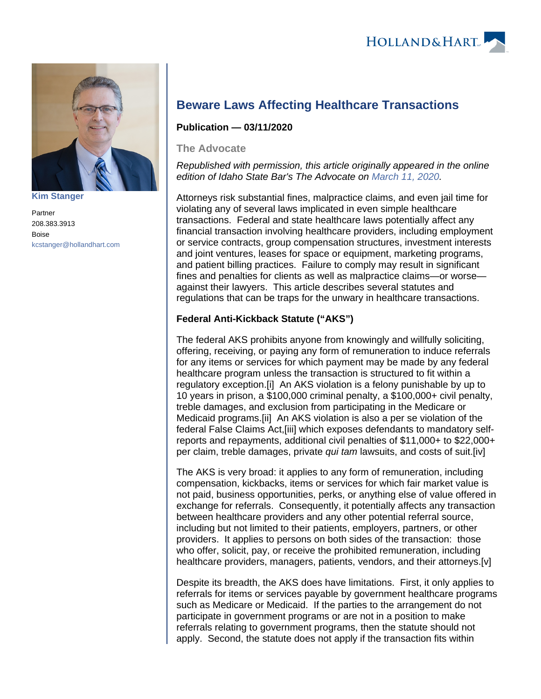

**[Kim Stanger](https://www.hollandhart.com/15954)**

Partner 208.383.3913 Boise [kcstanger@hollandhart.com](mailto:kcstanger@hollandhart.com)

# **Beware Laws Affecting Healthcare Transactions**

## **Publication — 03/11/2020**

**The Advocate**

Republished with permission, this article originally appeared in the online edition of Idaho State Bar's The Advocate on [March 11, 2020](https://isb.idaho.gov/blog/beware-laws-affecting-healthcare-transactions/).

Attorneys risk substantial fines, malpractice claims, and even jail time for violating any of several laws implicated in even simple healthcare transactions. Federal and state healthcare laws potentially affect any financial transaction involving healthcare providers, including employment or service contracts, group compensation structures, investment interests and joint ventures, leases for space or equipment, marketing programs, and patient billing practices. Failure to comply may result in significant fines and penalties for clients as well as malpractice claims—or worse against their lawyers. This article describes several statutes and regulations that can be traps for the unwary in healthcare transactions.

## **Federal Anti-Kickback Statute ("AKS")**

The federal AKS prohibits anyone from knowingly and willfully soliciting, offering, receiving, or paying any form of remuneration to induce referrals for any items or services for which payment may be made by any federal healthcare program unless the transaction is structured to fit within a regulatory exception.[i] An AKS violation is a felony punishable by up to 10 years in prison, a \$100,000 criminal penalty, a \$100,000+ civil penalty, treble damages, and exclusion from participating in the Medicare or Medicaid programs.[ii] An AKS violation is also a per se violation of the federal False Claims Act,[iii] which exposes defendants to mandatory selfreports and repayments, additional civil penalties of \$11,000+ to \$22,000+ per claim, treble damages, private *qui tam* lawsuits, and costs of suit.[iv]

The AKS is very broad: it applies to any form of remuneration, including compensation, kickbacks, items or services for which fair market value is not paid, business opportunities, perks, or anything else of value offered in exchange for referrals. Consequently, it potentially affects any transaction between healthcare providers and any other potential referral source, including but not limited to their patients, employers, partners, or other providers. It applies to persons on both sides of the transaction: those who offer, solicit, pay, or receive the prohibited remuneration, including healthcare providers, managers, patients, vendors, and their attorneys.[v]

Despite its breadth, the AKS does have limitations. First, it only applies to referrals for items or services payable by government healthcare programs such as Medicare or Medicaid. If the parties to the arrangement do not participate in government programs or are not in a position to make referrals relating to government programs, then the statute should not apply. Second, the statute does not apply if the transaction fits within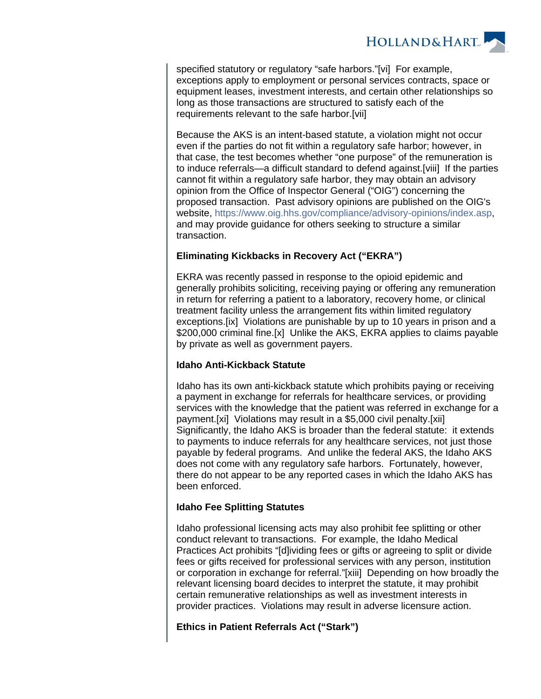

specified statutory or regulatory "safe harbors."[vi] For example, exceptions apply to employment or personal services contracts, space or equipment leases, investment interests, and certain other relationships so long as those transactions are structured to satisfy each of the requirements relevant to the safe harbor.[vii]

Because the AKS is an intent-based statute, a violation might not occur even if the parties do not fit within a regulatory safe harbor; however, in that case, the test becomes whether "one purpose" of the remuneration is to induce referrals—a difficult standard to defend against.[viii] If the parties cannot fit within a regulatory safe harbor, they may obtain an advisory opinion from the Office of Inspector General ("OIG") concerning the proposed transaction. Past advisory opinions are published on the OIG's website, [https://www.oig.hhs.gov/compliance/advisory-opinions/index.asp,](https://oig.hhs.gov/compliance/advisory-opinions/index.asp) and may provide guidance for others seeking to structure a similar transaction.

## **Eliminating Kickbacks in Recovery Act ("EKRA")**

EKRA was recently passed in response to the opioid epidemic and generally prohibits soliciting, receiving paying or offering any remuneration in return for referring a patient to a laboratory, recovery home, or clinical treatment facility unless the arrangement fits within limited regulatory exceptions.[ix] Violations are punishable by up to 10 years in prison and a \$200,000 criminal fine.[x] Unlike the AKS, EKRA applies to claims payable by private as well as government payers.

#### **Idaho Anti-Kickback Statute**

Idaho has its own anti-kickback statute which prohibits paying or receiving a payment in exchange for referrals for healthcare services, or providing services with the knowledge that the patient was referred in exchange for a payment.[xi] Violations may result in a \$5,000 civil penalty.[xii] Significantly, the Idaho AKS is broader than the federal statute: it extends to payments to induce referrals for any healthcare services, not just those payable by federal programs. And unlike the federal AKS, the Idaho AKS does not come with any regulatory safe harbors. Fortunately, however, there do not appear to be any reported cases in which the Idaho AKS has been enforced.

#### **Idaho Fee Splitting Statutes**

Idaho professional licensing acts may also prohibit fee splitting or other conduct relevant to transactions. For example, the Idaho Medical Practices Act prohibits "[d]ividing fees or gifts or agreeing to split or divide fees or gifts received for professional services with any person, institution or corporation in exchange for referral."[xiii] Depending on how broadly the relevant licensing board decides to interpret the statute, it may prohibit certain remunerative relationships as well as investment interests in provider practices. Violations may result in adverse licensure action.

#### **Ethics in Patient Referrals Act ("Stark")**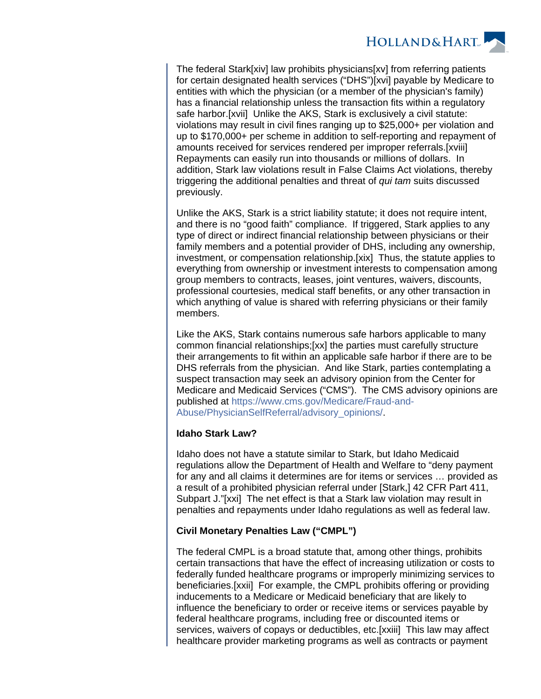

The federal Stark[xiv] law prohibits physicians[xv] from referring patients for certain designated health services ("DHS")[xvi] payable by Medicare to entities with which the physician (or a member of the physician's family) has a financial relationship unless the transaction fits within a regulatory safe harbor.[xvii] Unlike the AKS, Stark is exclusively a civil statute: violations may result in civil fines ranging up to \$25,000+ per violation and up to \$170,000+ per scheme in addition to self-reporting and repayment of amounts received for services rendered per improper referrals.[xviii] Repayments can easily run into thousands or millions of dollars. In addition, Stark law violations result in False Claims Act violations, thereby triggering the additional penalties and threat of *qui tam* suits discussed previously.

Unlike the AKS, Stark is a strict liability statute; it does not require intent, and there is no "good faith" compliance. If triggered, Stark applies to any type of direct or indirect financial relationship between physicians or their family members and a potential provider of DHS, including any ownership, investment, or compensation relationship.[xix] Thus, the statute applies to everything from ownership or investment interests to compensation among group members to contracts, leases, joint ventures, waivers, discounts, professional courtesies, medical staff benefits, or any other transaction in which anything of value is shared with referring physicians or their family members.

Like the AKS, Stark contains numerous safe harbors applicable to many common financial relationships;[xx] the parties must carefully structure their arrangements to fit within an applicable safe harbor if there are to be DHS referrals from the physician. And like Stark, parties contemplating a suspect transaction may seek an advisory opinion from the Center for Medicare and Medicaid Services ("CMS"). The CMS advisory opinions are published at [https://www.cms.gov/Medicare/Fraud-and-](https://www.cms.gov/Medicare/Fraud-and-Abuse/PhysicianSelfReferral/advisory_opinions/)[Abuse/PhysicianSelfReferral/advisory\\_opinions/](https://www.cms.gov/Medicare/Fraud-and-Abuse/PhysicianSelfReferral/advisory_opinions/).

## **Idaho Stark Law?**

Idaho does not have a statute similar to Stark, but Idaho Medicaid regulations allow the Department of Health and Welfare to "deny payment for any and all claims it determines are for items or services … provided as a result of a prohibited physician referral under [Stark,] 42 CFR Part 411, Subpart J."[xxi] The net effect is that a Stark law violation may result in penalties and repayments under Idaho regulations as well as federal law.

## **Civil Monetary Penalties Law ("CMPL")**

The federal CMPL is a broad statute that, among other things, prohibits certain transactions that have the effect of increasing utilization or costs to federally funded healthcare programs or improperly minimizing services to beneficiaries.[xxii] For example, the CMPL prohibits offering or providing inducements to a Medicare or Medicaid beneficiary that are likely to influence the beneficiary to order or receive items or services payable by federal healthcare programs, including free or discounted items or services, waivers of copays or deductibles, etc.[xxiii] This law may affect healthcare provider marketing programs as well as contracts or payment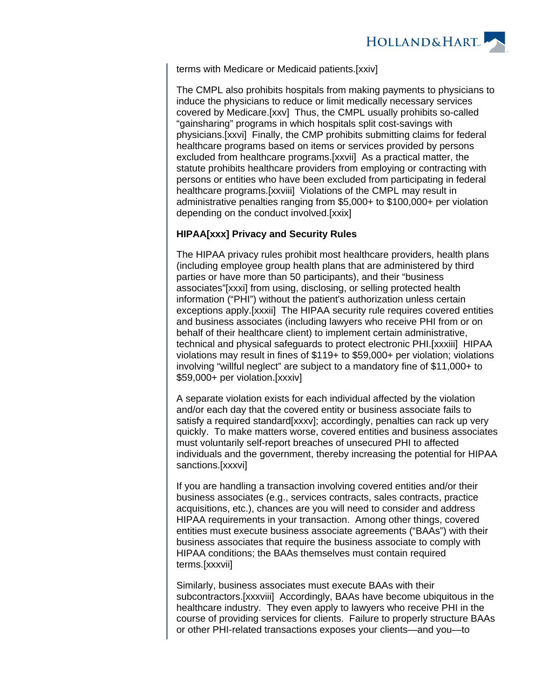

terms with Medicare or Medicaid patients.[xxiv]

The CMPL also prohibits hospitals from making payments to physicians to induce the physicians to reduce or limit medically necessary services covered by Medicare.[xxv] Thus, the CMPL usually prohibits so-called "gainsharing" programs in which hospitals split cost-savings with physicians.[xxvi] Finally, the CMP prohibits submitting claims for federal healthcare programs based on items or services provided by persons excluded from healthcare programs.[xxvii] As a practical matter, the statute prohibits healthcare providers from employing or contracting with persons or entities who have been excluded from participating in federal healthcare programs.[xxviii] Violations of the CMPL may result in administrative penalties ranging from \$5,000+ to \$100,000+ per violation depending on the conduct involved.[xxix]

#### **HIPAA[xxx] Privacy and Security Rules**

The HIPAA privacy rules prohibit most healthcare providers, health plans (including employee group health plans that are administered by third parties or have more than 50 participants), and their "business associates"[xxxi] from using, disclosing, or selling protected health information ("PHI") without the patient's authorization unless certain exceptions apply.[xxxii] The HIPAA security rule requires covered entities and business associates (including lawyers who receive PHI from or on behalf of their healthcare client) to implement certain administrative, technical and physical safeguards to protect electronic PHI.[xxxiii] HIPAA violations may result in fines of \$119+ to \$59,000+ per violation; violations involving "willful neglect" are subject to a mandatory fine of \$11,000+ to \$59,000+ per violation.[xxxiv]

A separate violation exists for each individual affected by the violation and/or each day that the covered entity or business associate fails to satisfy a required standard[xxxv]; accordingly, penalties can rack up very quickly. To make matters worse, covered entities and business associates must voluntarily self-report breaches of unsecured PHI to affected individuals and the government, thereby increasing the potential for HIPAA sanctions.[xxxvi]

If you are handling a transaction involving covered entities and/or their business associates (e.g., services contracts, sales contracts, practice acquisitions, etc.), chances are you will need to consider and address HIPAA requirements in your transaction. Among other things, covered entities must execute business associate agreements ("BAAs") with their business associates that require the business associate to comply with HIPAA conditions; the BAAs themselves must contain required terms.[xxxvii]

Similarly, business associates must execute BAAs with their subcontractors.[xxxviii] Accordingly, BAAs have become ubiquitous in the healthcare industry. They even apply to lawyers who receive PHI in the course of providing services for clients. Failure to properly structure BAAs or other PHI-related transactions exposes your clients—and you—to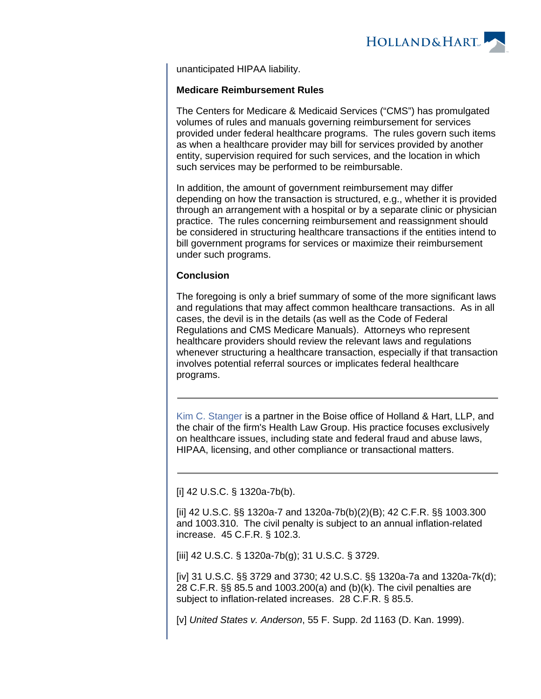

unanticipated HIPAA liability.

## **Medicare Reimbursement Rules**

The Centers for Medicare & Medicaid Services ("CMS") has promulgated volumes of rules and manuals governing reimbursement for services provided under federal healthcare programs. The rules govern such items as when a healthcare provider may bill for services provided by another entity, supervision required for such services, and the location in which such services may be performed to be reimbursable.

In addition, the amount of government reimbursement may differ depending on how the transaction is structured, e.g., whether it is provided through an arrangement with a hospital or by a separate clinic or physician practice. The rules concerning reimbursement and reassignment should be considered in structuring healthcare transactions if the entities intend to bill government programs for services or maximize their reimbursement under such programs.

#### **Conclusion**

The foregoing is only a brief summary of some of the more significant laws and regulations that may affect common healthcare transactions. As in all cases, the devil is in the details (as well as the Code of Federal Regulations and CMS Medicare Manuals). Attorneys who represent healthcare providers should review the relevant laws and regulations whenever structuring a healthcare transaction, especially if that transaction involves potential referral sources or implicates federal healthcare programs.

[Kim C. Stanger](https://www.hollandhart.com/kcstanger) is a partner in the Boise office of Holland & Hart, LLP, and the chair of the firm's Health Law Group. His practice focuses exclusively on healthcare issues, including state and federal fraud and abuse laws, HIPAA, licensing, and other compliance or transactional matters.

[i] 42 U.S.C. § 1320a-7b(b).

[ii] 42 U.S.C. §§ 1320a-7 and 1320a-7b(b)(2)(B); 42 C.F.R. §§ 1003.300 and 1003.310. The civil penalty is subject to an annual inflation-related increase. 45 C.F.R. § 102.3.

[iii] 42 U.S.C. § 1320a-7b(g); 31 U.S.C. § 3729.

[iv] 31 U.S.C. §§ 3729 and 3730; 42 U.S.C. §§ 1320a-7a and 1320a-7k(d); 28 C.F.R. §§ 85.5 and 1003.200(a) and (b)(k). The civil penalties are subject to inflation-related increases. 28 C.F.R. § 85.5.

[v] United States v. Anderson, 55 F. Supp. 2d 1163 (D. Kan. 1999).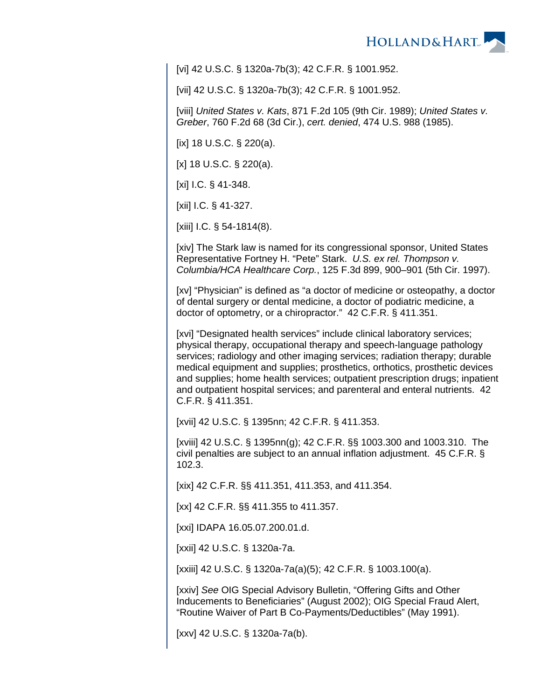

[vi] 42 U.S.C. § 1320a-7b(3); 42 C.F.R. § 1001.952.

[vii] 42 U.S.C. § 1320a-7b(3); 42 C.F.R. § 1001.952.

[viii] United States v. Kats, 871 F.2d 105 (9th Cir. 1989); United States v. Greber, 760 F.2d 68 (3d Cir.), cert. denied, 474 U.S. 988 (1985).

[ix] 18 U.S.C. § 220(a).

[x] 18 U.S.C. § 220(a).

[xi] I.C. § 41-348.

[xii] I.C. § 41-327.

[xiii] I.C. § 54-1814(8).

[xiv] The Stark law is named for its congressional sponsor, United States Representative Fortney H. "Pete" Stark. U.S. ex rel. Thompson v. Columbia/HCA Healthcare Corp., 125 F.3d 899, 900–901 (5th Cir. 1997).

[xv] "Physician" is defined as "a doctor of medicine or osteopathy, a doctor of dental surgery or dental medicine, a doctor of podiatric medicine, a doctor of optometry, or a chiropractor." 42 C.F.R. § 411.351.

[xvi] "Designated health services" include clinical laboratory services; physical therapy, occupational therapy and speech-language pathology services; radiology and other imaging services; radiation therapy; durable medical equipment and supplies; prosthetics, orthotics, prosthetic devices and supplies; home health services; outpatient prescription drugs; inpatient and outpatient hospital services; and parenteral and enteral nutrients. 42 C.F.R. § 411.351.

[xvii] 42 U.S.C. § 1395nn; 42 C.F.R. § 411.353.

[xviii] 42 U.S.C. § 1395nn(g); 42 C.F.R. §§ 1003.300 and 1003.310. The civil penalties are subject to an annual inflation adjustment. 45 C.F.R. § 102.3.

[xix] 42 C.F.R. §§ 411.351, 411.353, and 411.354.

[xx] 42 C.F.R. §§ 411.355 to 411.357.

[xxi] IDAPA 16.05.07.200.01.d.

[xxii] 42 U.S.C. § 1320a-7a.

[xxiii] 42 U.S.C. § 1320a-7a(a)(5); 42 C.F.R. § 1003.100(a).

[xxiv] See OIG Special Advisory Bulletin, "Offering Gifts and Other Inducements to Beneficiaries" (August 2002); OIG Special Fraud Alert, "Routine Waiver of Part B Co-Payments/Deductibles" (May 1991).

[xxv] 42 U.S.C. § 1320a-7a(b).